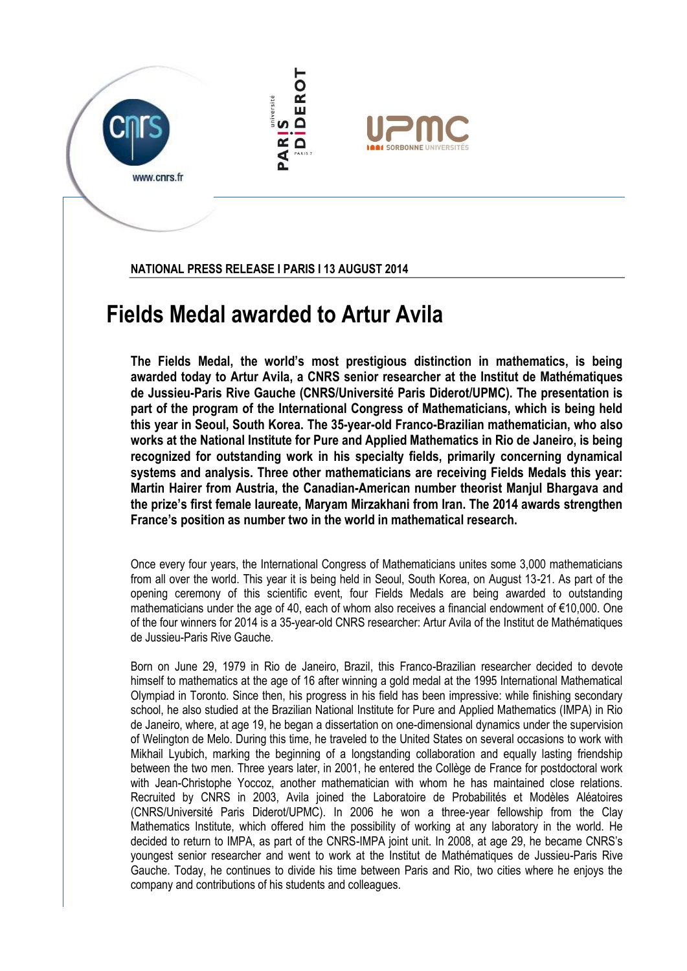

**NATIONAL PRESS RELEASE I PARIS I 13 AUGUST 2014**

## **Fields Medal awarded to Artur Avila**

**The Fields Medal, the world's most prestigious distinction in mathematics, is being awarded today to Artur Avila, a CNRS senior researcher at the Institut de Mathématiques de Jussieu-Paris Rive Gauche (CNRS/Université Paris Diderot/UPMC). The presentation is part of the program of the International Congress of Mathematicians, which is being held this year in Seoul, South Korea. The 35-year-old Franco-Brazilian mathematician, who also works at the National Institute for Pure and Applied Mathematics in Rio de Janeiro, is being recognized for outstanding work in his specialty fields, primarily concerning dynamical systems and analysis. Three other mathematicians are receiving Fields Medals this year: Martin Hairer from Austria, the Canadian-American number theorist Manjul Bhargava and the prize's first female laureate, Maryam Mirzakhani from Iran. The 2014 awards strengthen France's position as number two in the world in mathematical research.**

Once every four years, the International Congress of Mathematicians unites some 3,000 mathematicians from all over the world. This year it is being held in Seoul, South Korea, on August 13-21. As part of the opening ceremony of this scientific event, four Fields Medals are being awarded to outstanding mathematicians under the age of 40, each of whom also receives a financial endowment of €10,000. One of the four winners for 2014 is a 35-year-old CNRS researcher: Artur Avila of the Institut de Mathématiques de Jussieu-Paris Rive Gauche.

Born on June 29, 1979 in Rio de Janeiro, Brazil, this Franco-Brazilian researcher decided to devote himself to mathematics at the age of 16 after winning a gold medal at the 1995 International Mathematical Olympiad in Toronto. Since then, his progress in his field has been impressive: while finishing secondary school, he also studied at the Brazilian National Institute for Pure and Applied Mathematics (IMPA) in Rio de Janeiro, where, at age 19, he began a dissertation on one-dimensional dynamics under the supervision of Welington de Melo. During this time, he traveled to the United States on several occasions to work with Mikhail Lyubich, marking the beginning of a longstanding collaboration and equally lasting friendship between the two men. Three years later, in 2001, he entered the Collège de France for postdoctoral work with Jean-Christophe Yoccoz, another mathematician with whom he has maintained close relations. Recruited by CNRS in 2003, Avila joined the Laboratoire de Probabilités et Modèles Aléatoires (CNRS/Université Paris Diderot/UPMC). In 2006 he won a three-year fellowship from the Clay Mathematics Institute, which offered him the possibility of working at any laboratory in the world. He decided to return to IMPA, as part of the CNRS-IMPA joint unit. In 2008, at age 29, he became CNRS's youngest senior researcher and went to work at the Institut de Mathématiques de Jussieu-Paris Rive Gauche. Today, he continues to divide his time between Paris and Rio, two cities where he enjoys the company and contributions of his students and colleagues.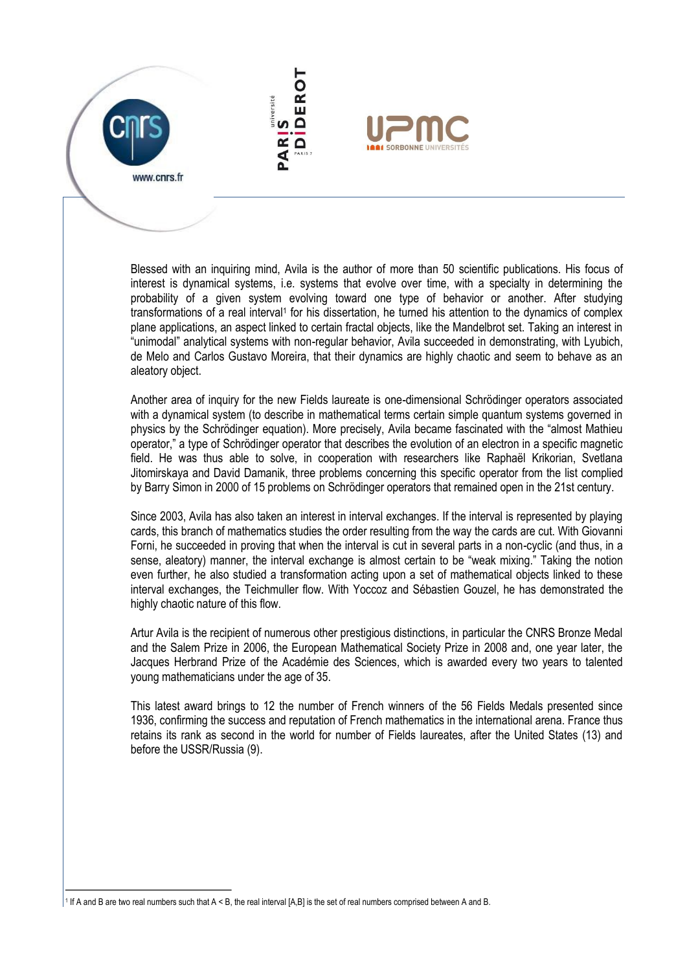www.cnrs.fr



Blessed with an inquiring mind, Avila is the author of more than 50 scientific publications. His focus of interest is dynamical systems, i.e. systems that evolve over time, with a specialty in determining the probability of a given system evolving toward one type of behavior or another. After studying transformations of a real interval<sup>1</sup> for his dissertation, he turned his attention to the dynamics of complex plane applications, an aspect linked to certain fractal objects, like the Mandelbrot set. Taking an interest in "unimodal" analytical systems with non-regular behavior, Avila succeeded in demonstrating, with Lyubich, de Melo and Carlos Gustavo Moreira, that their dynamics are highly chaotic and seem to behave as an aleatory object.

Another area of inquiry for the new Fields laureate is one-dimensional Schrödinger operators associated with a dynamical system (to describe in mathematical terms certain simple quantum systems governed in physics by the Schrödinger equation). More precisely, Avila became fascinated with the "almost Mathieu operator," a type of Schrödinger operator that describes the evolution of an electron in a specific magnetic field. He was thus able to solve, in cooperation with researchers like Raphaël Krikorian, Svetlana Jitomirskaya and David Damanik, three problems concerning this specific operator from the list complied by Barry Simon in 2000 of 15 problems on Schrödinger operators that remained open in the 21st century.

Since 2003, Avila has also taken an interest in interval exchanges. If the interval is represented by playing cards, this branch of mathematics studies the order resulting from the way the cards are cut. With Giovanni Forni, he succeeded in proving that when the interval is cut in several parts in a non-cyclic (and thus, in a sense, aleatory) manner, the interval exchange is almost certain to be "weak mixing." Taking the notion even further, he also studied a transformation acting upon a set of mathematical objects linked to these interval exchanges, the Teichmuller flow. With Yoccoz and Sébastien Gouzel, he has demonstrated the highly chaotic nature of this flow.

Artur Avila is the recipient of numerous other prestigious distinctions, in particular the CNRS Bronze Medal and the Salem Prize in 2006, the European Mathematical Society Prize in 2008 and, one year later, the Jacques Herbrand Prize of the Académie des Sciences, which is awarded every two years to talented young mathematicians under the age of 35.

This latest award brings to 12 the number of French winners of the 56 Fields Medals presented since 1936, confirming the success and reputation of French mathematics in the international arena. France thus retains its rank as second in the world for number of Fields laureates, after the United States (13) and before the USSR/Russia (9).

<sup>1</sup> If A and B are two real numbers such that A < B, the real interval [A,B] is the set of real numbers comprised between A and B.